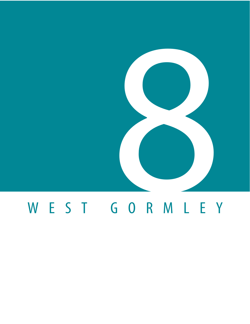

# WEST GORMLEY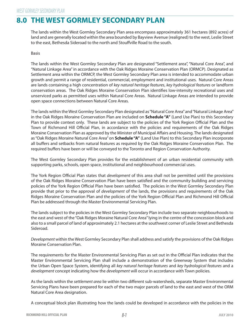# **8.0 THE WEST GORMLEY SECONDARY PLAN**

The lands within the West Gormley Secondary Plan area encompass approximately 361 hectares (892 acres) of land and are generally located within the area bounded by Bayview Avenue (realigned) to the west, Leslie Street to the east, Bethesda Sideroad to the north and Stouffville Road to the south.

## Basis

The lands within the West Gormley Secondary Plan are designated "Settlement area", "Natural Core Area", and "Natural Linkage Area" in accordance with the Oak Ridges Moraine Conservation Plan (ORMCP). Designated as Settlement area within the ORMCP, the West Gormley Secondary Plan area is intended to accommodate urban growth and permit a range of residential, commercial, employment and institutional uses. Natural Core Areas are lands containing a high concentration of key natural heritage features, key hydrological features or landform conservation areas. The Oak Ridges Moraine Conservation Plan identifes low-intensity recreational uses and unserviced parks as permitted uses within Natural Core Areas. Natural Linkage Areas are intended to provide open space connections between Natural Core Areas.

Plan to provide context only. These lands are subject to the policies of the York Region Official Plan and the Town of Richmond Hill Official Plan, in accordance with the policies and requirements of the Oak Ridges The lands within the West Gormley Secondary Plan designated as "Natural Core Area" and "Natural Linkage Area" in the Oak Ridges Moraine Conservation Plan are included on **Schedule "A"** (Land Use Plan) to this Secondary Moraine Conservation Plan as approved by the Minister of Municipal Afairs and Housing. The lands designated as "Oak Ridges Moraine Natural Core Area" on **Schedule "A"** (Land Use Plan) to this Secondary Plan incorporate all bufers and setbacks from natural features as required by the Oak Ridges Moraine Conservation Plan. The required bufers have been or will be conveyed to the Toronto and Region Conservation Authority.

The West Gormley Secondary Plan provides for the establishment of an urban residential community with supporting parks, schools, open space, institutional and neighbourhood commercial uses.

The York Region Official Plan states that *development* of this area shall not be permitted until the provisions policies of the York Region Official Plan have been satisfied. The policies in the West Gormley Secondary Plan Ridges Moraine Conservation Plan and the policies of the York Region Official Plan and Richmond Hill Official of the Oak Ridges Moraine Conservation Plan have been satisfed and the community building and servicing provide that prior to the approval of development of the lands, the provisions and requirements of the Oak Plan be addressed through the Master Environmental Servicing Plan.

The lands subject to the policies in the West Gormley Secondary Plan include two separate neighbourhoods to the east and west of the "Oak Ridges Moraine Natural Core Area" lying in the centre of the concession block and also to a small parcel of land of approximately 2.1 hectares at the southwest corner of Leslie Street and Bethesda Sideroad.

Development within the West Gormley Secondary Plan shall address and satisfy the provisions of the Oak Ridges Moraine Conservation Plan.

The requirements for the Master Environmental Servicing Plan as set out in the Official Plan indicates that the Master Environmental Servicing Plan shall include a demonstration of the Greenway System that includes the Urban Open Space System, identifying all key natural heritage features and key hydrological features and a development concept indicating how the *development* will occur in accordance with Town policies.

As the lands within the settlement area lie within two diferent sub-watersheds, separate Master Environmental Servicing Plans have been prepared for each of the two major parcels of land to the east and west of the ORM Natural Core Area designation.

A conceptual block plan illustrating how the lands could be developed in accordance with the policies in the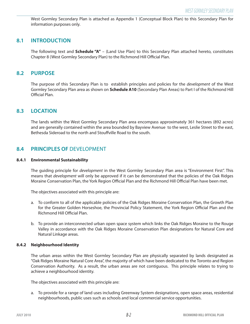West Gormley Secondary Plan is attached as Appendix 1 (Conceptual Block Plan) to this Secondary Plan for information purposes only.

## **8.1 INTRODUCTION**

The following text and **Schedule "A"** – (Land Use Plan) to this Secondary Plan attached hereto, constitutes Chapter 8 (West Gormley Secondary Plan) to the Richmond Hill Official Plan.

## **8.2 PURPOSE**

The purpose of this Secondary Plan is to establish principles and policies for the development of the West Gormley Secondary Plan area as shown on **Schedule A10** (Secondary Plan Areas) to Part I of the Richmond Hill Official Plan.

## **8.3 LOCATION**

The lands within the West Gormley Secondary Plan area encompass approximately 361 hectares (892 acres) and are generally contained within the area bounded by Bayview Avenue to the west, Leslie Street to the east, Bethesda Sideroad to the north and Stouffville Road to the south.

## **8.4 PRINCIPLES OF DEVELOPMENT**

#### **8.4.1 Environmental Sustainability**

Moraine Conservation Plan, the York Region Official Plan and the Richmond Hill Official Plan have been met. The guiding principle for *development* in the West Gormley Secondary Plan area is "Environment First". This means that *development* will only be approved if it can be demonstrated that the policies of the Oak Ridges

The objectives associated with this principle are:

- for the Greater Golden Horseshoe, the Provincial Policy Statement, the York Region Official Plan and the a. To conform to all of the applicable policies of the Oak Ridges Moraine Conservation Plan, the Growth Plan Richmond Hill Official Plan.
- b. To provide an interconnected urban open space system which links the Oak Ridges Moraine to the Rouge Valley in accordance with the Oak Ridges Moraine Conservation Plan designations for Natural Core and Natural Linkage areas.

#### **8.4.2 Neighbourhood Identity**

The urban areas within the West Gormley Secondary Plan are physically separated by lands designated as "Oak Ridges Moraine Natural Core Area", the majority of which have been dedicated to the Toronto and Region Conservation Authority. As a result, the urban areas are not contiguous. This principle relates to trying to achieve a neighbourhood identity.

The objectives associated with this principle are:

a. To provide for a range of land uses including Greenway System designations, open space areas, residential neighbourhoods, public uses such as schools and local commercial service opportunities.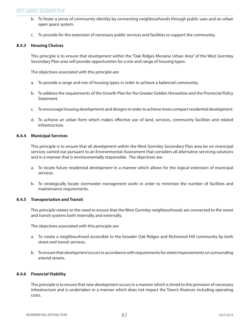- b. To foster a sense of community identity by connecting neighbourhoods through public uses and an urban open space system.
- c. To provide for the extension of necessary public services and facilities to support the community.

## **8.4.3 Housing Choices**

This principle is to ensure that *development* within the "Oak Ridges Moraine Urban Area" of the West Gormley Secondary Plan area will provide opportunities for a mix and range of housing types.

The objectives associated with this principle are:

- a. To provide a range and mix of housing types in order to achieve a balanced community.
- b. To address the requirements of the Growth Plan for the Greater Golden Horseshoe and the Provincial Policy Statement.
- c. To encourage housing *developments* and designs in order to achieve more compact residential *development*.
- d. To achieve an urban form which makes efective use of land, services, community facilities and related infrastructure.

## **8.4.4 Municipal Services**

This principle is to ensure that all *development* within the West Gormley Secondary Plan area be on municipal services carried out pursuant to an Environmental Assessment that considers all alternative servicing solutions and in a manner that is environmentally responsible. The objectives are:

- a. To locate future residential development in a manner which allows for the logical extension of municipal services.
- b. To strategically locate stormwater management works in order to minimize the number of facilities and maintenance requirements.

## **8.4.5 Transportation and Transit**

This principle relates to the need to ensure that the West Gormley neighbourhoods are connected to the street and transit systems both internally and externally.

The objectives associated with this principle are:

- a. To create a neighbourhood accessible to the broader Oak Ridges and Richmond Hill community by both street and transit services.
- b. To ensure that development occurs in accordance with requirements for street improvements on surrounding arterial streets.

## **8.4.6 Financial Viability**

This principle is to ensure that new *development* occurs in a manner which is timed to the provision of necessary infrastructure and is undertaken in a manner which does not impact the Town's fnances including operating costs.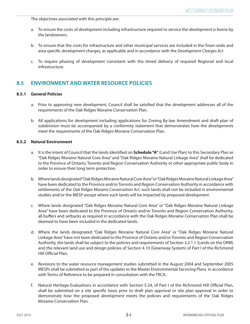The objectives associated with this principle are:

- a. To ensure the costs of development including infrastructure required to service the development is borne by the landowners.
- b. To ensure that the costs for infrastructure and other municipal services are included in the Town-wide and area specific development charges, as applicable and in accordance with the Development Charges Act.
- c. To require phasing of development consistent with the timed delivery of required Regional and local infrastructure.

## **8.5 ENVIRONMENT AND WATER RESOURCE POLICIES**

## **8.5.1 General Policies**

- a. Prior to approving new development, Council shall be satisfed that the development addresses all of the requirements of the Oak Ridges Moraine Conservation Plan.
- b. All applications for development including applications for Zoning By-law Amendment and draft plan of subdivision must be accompanied by a conformity statement that demonstrates how the *developments* meet the requirements of the Oak Ridges Moraine Conservation Plan.

## **8.5.2 Natural Environment**

- a. It is the intent of Council that the lands identified on **Schedule "A"** (Land Use Plan) to this Secondary Plan as "Oak Ridges Moraine Natural Core Area" and "Oak Ridges Moraine Natural Linkage Area" shall be dedicated to the Province of Ontario, Toronto and Region Conservation Authority or other appropriate public body in order to ensure their long term protection.
- b. Where lands designated "Oak Ridges Moraine Natural Core Area" or "Oak Ridges Moraine Natural Linkage Area" have been dedicated to the Province and/or Toronto and Region Conservation Authority in accordance with settlements of the Oak Ridges Moraine Conservation Act, such lands shall not be included in environmental studies and/or the MESP except where such lands will be impacted by proposed *development*.
- c. Where lands designated "Oak Ridges Moraine Natural Core Area" or "Oak Ridges Moraine Natural Linkage Area" have been dedicated to the Province of Ontario and/or Toronto and Region Conservation Authority, all bufers and setbacks as required in accordance with the Oak Ridges Moraine Conservation Plan shall be deemed to have been included in the dedicated lands.
- d. Where the lands designated "Oak Ridges Moraine Natural Core Area" or "Oak Ridges Moraine Natural Linkage Area" have not been dedicated to the Province of Ontario and/or Toronto and Region Conservation Authority, the lands shall be subject to the policies and requirements of Section 3.2.1.1 (Lands on the ORM) and the relevant land use and design policies of Section 4.10 (Greenway System) of Part I of the Richmond Hill Official Plan.
- e. Revisions to the water resource management studies submitted in the August 2004 and September 2005 MESPs shall be submitted as part of the updates to the Master Environmental Servicing Plans in accordance with Terms of Reference to be prepared in consultation with the TRCA.
- f. Natural Heritage Evaluations in accordance with Section 5.24, of Part I of the Richmond Hill Official Plan, shall be submitted on a site specifc basis prior to draft plan approval or site plan approval in order to demonstrate how the proposed *development* meets the policies and requirements of the Oak Ridges Moraine Conservation Plan.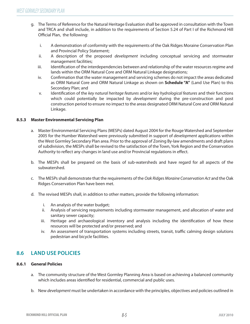- Official Plan, the following: g. The Terms of Reference for the Natural Heritage Evaluation shall be approved in consultation with the Town and TRCA and shall include, in addition to the requirements of Section 5.24 of Part I of the Richmond Hill
	- i. A demonstration of conformity with the requirements of the Oak Ridges Moraine Conservation Plan and Provincial Policy Statement;
	- ii. A description of the proposed *development* including conceptual servicing and stormwater management facilities;
	- iii. Identification of the interdependencies between and relationship of the water resources regime and lands within the ORM Natural Core and ORM Natural Linkage designations;
	- iv. Confrmation that the water management and servicing schemes do not impact the areas dedicated as ORM Natural Core and ORM Natural Linkage as shown on **Schedule "A"** (Land Use Plan) to this Secondary Plan; and
	- v. Identification of the key natural heritage features and/or key hydrological features and their functions which could potentially be impacted by *development* during the pre-construction and post construction period to ensure no impact to the areas designated ORM Natural Core and ORM Natural Linkage.

## **8.5.3 Master Environmental Servicing Plan**

- a. Master Environmental Servicing Plans (MESPs) dated August 2004 for the Rouge Watershed and September 2005 for the Humber Watershed were previously submitted in support of *development* applications within the West Gormley Secondary Plan area. Prior to the approval of Zoning By-law amendments and draft plans of subdivision, the MESPs shall be revised to the satisfaction of the Town, York Region and the Conservation Authority to reflect any changes in land use and/or Provincial regulations in effect.
- b. The MESPs shall be prepared on the basis of sub-watersheds and have regard for all aspects of the subwatershed.
- c. The MESPs shall demonstrate that the requirements of the Oak Ridges Moraine Conservation Act and the Oak Ridges Conservation Plan have been met.
- d. The revised MESPs shall, in addition to other matters, provide the following information:
	- i. An analysis of the water budget;
	- ii. Analysis of servicing requirements including stormwater management, and allocation of water and sanitary sewer capacity;
	- iii. Heritage and archaeological inventory and analysis including the identifcation of how these resources will be protected and/or preserved; and
	- iv. An assessment of transportation systems including streets, transit, traffic calming design solutions pedestrian and bicycle facilities.

## **8.6 LAND USE POLICIES**

## **8.6.1 General Policies**

- a. The community structure of the West Gormley Planning Area is based on achieving a balanced community which includes areas identifed for residential, commercial and public uses.
- b. New development must be undertaken in accordance with the principles, objectives and policies outlined in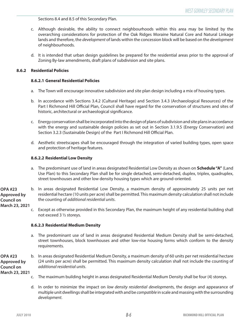Sections 8.4 and 8.5 of this Secondary Plan.

- c. Although desirable, the ability to connect neighbourhoods within this area may be limited by the overarching considerations for protection of the Oak Ridges Moraine Natural Core and Natural Linkage lands and therefore, the *development* of lands within the concession block will be based on the *development* of neighbourhoods.
- d. It is intended that urban design guidelines be prepared for the residential areas prior to the approval of Zoning By-law amendments, draft plans of subdivision and site plans.

## **8.6.2 Residential Policies**

## **8.6.2.1 General Residential Policies**

- a. The Town will encourage innovative subdivision and site plan design including a mix of housing types.
- b. In accordance with Sections 3.4.2 (Cultural Heritage) and Section 3.4.3 (Archaeological Resources) of the Part I Richmond Hill Official Plan, Council shall have regard for the conservation of structures and sites of historic, architectural or archaeological significance.
- c. Energy conservation shall be incorporated into the design of plans of subdivision and site plans in accordance with the energy and sustainable design policies as set out in Section 3.1.9.5 (Energy Conservation) and Section 3.2.3 (Sustainable Design) of the Part I Richmond Hill Official Plan.
- d. Aesthetic streetscapes shall be encouraged through the integration of varied building types, open space and protection of heritage features.

## **8.6.2.2 Residential Low Density**

- a. The predominant use of land in areas designated Residential Low Density as shown on **Schedule "A"** (Land Use Plan) to this Secondary Plan shall be for single detached, semi-detached, duplex, triplex, quadruplex, street townhouses and other low density housing types which are ground-oriented.
- b. In areas designated Residential Low Density, a maximum density of approximately 25 units per net residential hectare (10 units per acre) shall be permitted. This maximum density calculation shall not include the counting of additional residential units. **OPA #23 Approved by Council on**

**March 23, 2021** 

c. Except as otherwise provided in this Secondary Plan, the maximum height of any residential building shall not exceed 3 ½ storeys.

## **8.6.2.3 Residential Medium Density**

- a. The predominant use of land in areas designated Residential Medium Density shall be semi-detached, street townhouses, block townhouses and other low-rise housing forms which conform to the density requirements.
- b. In areas designated Residential Medium Density, a maximum density of 60 units per net residential hectare (24 units per acre) shall be permitted. This maximum density calculation shall not include the counting of additional residential units. **OPA #23 Approved by Council on**

**March 23, 2021** 

- c. The maximum building height in areas designated Residential Medium Density shall be four (4) storeys.
- d. In order to minimize the impact on low density residential developments, the design and appearance of multiple unit dwellings shall be integrated with and be compatible in scale and massing with the surrounding development.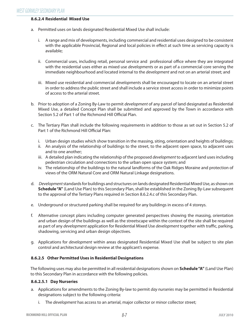## **8.6.2.4 Residential Mixed Use**

- a. Permitted uses on lands designated Residential Mixed Use shall include:
	- i. A range and mix of developments, including commercial and residential uses designed to be consistent with the applicable Provincial, Regional and local policies in efect at such time as servicing capacity is available;
	- ii. Commercial uses, including retail, personal service and professional office where they are integrated with the residential uses either as mixed use *developments* or as part of a commercial core serving the immediate neighbourhood and located internal to the *development* and not on an arterial street; and
	- iii. Mixed use residential and commercial *developments* shall be encouraged to locate on an arterial street in order to address the public street and shall include a service street access in order to minimize points of access to the arterial street.
- b. Prior to adoption of a Zoning By-Law to permit *development* of any parcel of land designated as Residential Mixed Use, a detailed Concept Plan shall be submitted and approved by the Town in accordance with Section 5.2 of Part 1 of the Richmond Hill Official Plan.
- c. The Tertiary Plan shall include the following requirements in addition to those as set out in Section 5.2 of Part 1 of the Richmond Hill Official Plan:
	- i. Urban design studies which show transition in the massing, siting, orientation and heights of buildings;
	- ii. An analysis of the relationship of buildings to the street, to the adjacent open space, to adjacent uses and to one another;
	- iii. A detailed plan indicating the relationship of the proposed *development* to adjacent land uses including pedestrian circulation and connections to the urban open space system; and
	- iv. The relationship of the buildings to the natural landforms of the Oak Ridges Moraine and protection of views of the ORM Natural Core and ORM Natural Linkage designations.
- d. Development standards for buildings and structures on lands designated Residential Mixed Use, as shown on **Schedule "A"** (Land Use Plan) to this Secondary Plan, shall be established in the Zoning By-Law subsequent to the approval of the Tertiary Plans required in Section 8.6.2.4.c of this Secondary Plan.
- e. Underground or structured parking shall be required for any buildings in excess of 4 storeys.
- f. Alternative concept plans including computer generated perspectives showing the massing, orientation and urban design of the buildings as well as the streetscape within the context of the site shall be required as part of any *development* application for Residential Mixed Use *development* together with traffic, parking, shadowing, servicing and urban design objectives.
- g. Applications for development within areas designated Residential Mixed Use shall be subject to site plan control and architectural design review at the applicant's expense.

## **8.6.2.5 Other Permitted Uses in Residential Designations**

The following uses may also be permitted in all residential designations shown on **Schedule "A"** (Land Use Plan) to this Secondary Plan in accordance with the following policies.

## **8.6.2.5.1 Day Nurseries**

- a. Applications for amendments to the Zoning By-law to permit day nurseries may be permitted in Residential designations subject to the following criteria:
	- i. The *development* has access to an arterial, major collector or minor collector street;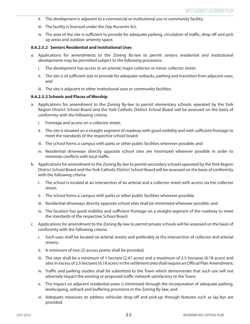- ii. The development is adjacent to a commercial or institutional use or community facility;
- iii. The facility is licensed under the Day Nurseries Act;
- iv. The area of the site is sufficient to provide for adequate parking, circulation of traffic, drop off and pick up areas and outdoor amenity space.

#### **8.6.2.5.2 Seniors Residential and Institutional Uses**

- a. Applications for amendments to the Zoning By-law to permit seniors residential and institutional developments may be permitted subject to the following provisions:
	- i. The development has access to an arterial, major collector or minor collector street;
	- ii. The site is of sufficient size to provide for adequate setbacks, parking and transition from adjacent uses; and
	- iii. The site is adjacent to other institutional uses or community facilities.

#### **8.6.2.5.3 Schools and Places of Worship**

- a. Applications for amendment to the Zoning By-law to permit elementary schools operated by the York Region District School Board and the York Catholic District School Board will be assessed on the basis of conformity with the following criteria:
	- i. Frontage and access on a collector street;
	- ii. The site is situated on a straight segment of roadway with good visibility and with sufficient frontage to meet the standards of the respective school board;
	- iii. The school forms a campus with parks or other public facilities wherever possible; and
	- iv. Residential driveways directly opposite school sites are minimized wherever possible in order to minimize conflicts with local traffic.
- b. Applications for amendment to the Zoning By-law to permit secondary schools operated by the York Region District School Board and the York Catholic District School Board will be assessed on the basis of conformity with the following criteria:
	- i. The school is located at an intersection of an arterial and a collector street with access via the collector street;
	- ii. The school forms a campus with parks or other public facilities wherever possible;
	- iii. Residential driveways directly opposite school sites shall be minimized wherever possible; and
	- iv. The location has good visibility and sufficient frontage on a straight segment of the roadway to meet the standards of the respective School Board.
- c. Applications for amendment to the Zoning By-law to permit private schools will be assessed on the basis of conformity with the following criteria:
	- i. Such uses shall be located on arterial streets and preferably at the intersection of collector and arterial streets;
	- ii. A minimum of two (2) access points shall be provided;
	- iii. The sites shall be a minimum of 1 hectare (2.47 acres) and a maximum of 2.5 hectares (6.18 acres) and sites in excess of 2.5 hectares (6.18 acres) in the settlement area shall require an Official Plan Amendment;
	- iv. Traffic and parking studies shall be submitted to the Town which demonstrate that such use will not adversely impact the existing or proposed traffic network satisfactory to the Town;
	- v. The impact on adjacent residential areas is minimized through the incorporation of adequate parking, landscaping, setback and buffering provisions in the Zoning By-law; and
	- vi. Adequate measures to address vehicular drop-off and pick-up through features such as lay-bys are provided.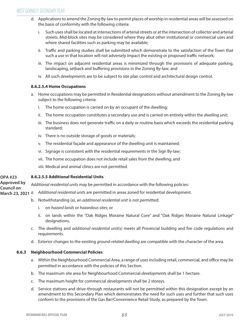- d. Applications to amend the Zoning By-law to permit places of worship in residential areas will be assessed on the basis of conformity with the following criteria:
	- i. Such uses shall be located at intersections of arterial streets or at the intersection of collector and arterial streets. Mid-block sites may be considered where they abut other institutional or commercial uses and where shared facilities such as parking may be available;
	- ii. Traffic and parking studies shall be submitted which demonstrate to the satisfaction of the Town that such a use in that location will not adversely impact the existing or proposed traffic network;
	- iii. The impact on adjacent residential areas is minimized through the provisions of adequate parking, landscaping, setback and buffering provisions in the Zoning By-law; and
	- iv. All such *developments* are to be subject to site plan control and architectural design control.

## **8.6.2.5.4 Home Occupations**

- a. Home occupations may be permitted in Residential designations without amendment to the Zoning By-law subject to the following criteria:
	- i. The home occupation is carried on by an occupant of the dwelling;
	- ii. The home occupation constitutes a secondary use and is carried on entirely within the *dwelling unit*;
	- iii. The business does not generate traffic on a daily or routine basis which exceeds the residential parking standard;
	- iv. There is no outside storage of goods or materials;
	- v. The residential façade and appearance of the dwelling unit is maintained;
	- vi. Signage is consistent with the residential requirements in the Sign By-law;
	- vii. The home occupation does not include retail sales from the dwelling; and

viii. Medical and animal clinics are not permitted.

#### **8.6.2.5.5 Additional Residential Units OPA #23**

Additional residential units may be permitted in accordance with the following policies: **Approved by Council on** 

March 23, 2021 *a.* Additional residential units are permitted in areas zoned for residential development.

- b. Notwithstanding (a), an additional residential unit is not permitted:
	- i. on hazard lands or hazardous sites; or
	- ii. on lands within the "Oak Ridges Moraine Natural Core" and "Oak Ridges Moraine Natural Linkage" designations.
- c. The dwelling and additional residential unit(s) meets all Provincial building and fire code regulations and requirements.
- d. Exterior changes to the existing ground-related dwelling are compatible with the character of the area.

## **8.6.3 Neighbourhood Commercial Policies**

- a. Within the Neighbourhood Commercial Area, a range of uses including retail, commercial, and office may be permitted in accordance with the policies of this Section.
- b. The maximum site area for Neighbourhood Commercial developments shall be 1 hectare.
- c. The maximum height for commercial developments shall be 2 storeys.
- d. Service stations and drive-through restaurants will not be permitted within this designation except by an amendment to this Secondary Plan which demonstrates the need for such uses and further that such uses conform to the provisions of the Gas Bar/Convenience Retail Study, as prepared by the Town.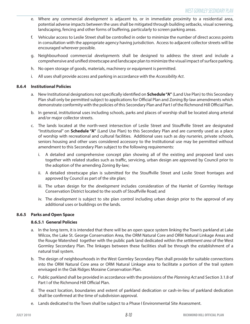- e. Where any commercial *development* is adjacent to, or in immediate proximity to a residential area, potential adverse impacts between the uses shall be mitigated through building setbacks, visual screening, landscaping, fencing and other forms of buffering, particularly to screen parking areas.
- f. Vehicular access to Leslie Street shall be controlled in order to minimize the number of direct access points in consultation with the appropriate agency having jurisdiction. Access to adjacent collector streets will be encouraged wherever possible.
- g. Neighbourhood commercial developments shall be designed to address the street and include a comprehensive and unified streetscape and landscape plan to minimize the visual impact of surface parking.
- h. No open storage of goods, materials, machinery or equipment is permitted.
- i. All uses shall provide access and parking in accordance with the Accessibility Act.

## **8.6.4 Institutional Policies**

- a. New Institutional designations not specifically identified on **Schedule "A"** (Land Use Plan) to this Secondary Plan shall only be permitted subject to applications for Official Plan and Zoning By-law amendments which demonstrate conformity with the policies of this Secondary Plan and Part I of the Richmond Hill Official Plan.
- b. In general, institutional uses including schools, parks and places of worship shall be located along arterial and/or major collector streets.
- c. The lands located at the north-west intersection of Leslie Street and Stouffville Street are designated "Institutional" on **Schedule "A"** (Land Use Plan) to this Secondary Plan and are currently used as a place of worship with recreational and cultural facilities. Additional uses such as day nurseries, private schools, seniors housing and other uses considered accessory to the Institutional use may be permitted without amendment to this Secondary Plan subject to the following requirements:
	- i. A detailed and comprehensive concept plan showing all of the existing and proposed land uses together with related studies such as traffic, servicing, urban design are approved by Council prior to the adoption of the amending Zoning By-law;
	- ii. A detailed streetscape plan is submitted for the Stouffville Street and Leslie Street frontages and approved by Council as part of the site plan;
	- iii. The urban design for the *development* includes consideration of the Hamlet of Gormley Heritage Conservation District located to the south of Stouffville Road; and
	- iv. The development is subject to site plan control including urban design prior to the approval of any additional uses or buildings on the lands.

## **8.6.5 Parks and Open Space**

## **8.6.5.1 General Policies**

- a. In the long term, it is intended that there will be an open space system linking the Town's parkland at Lake Wilcox, the Lake St. George Conservation Area, the ORM Natural Core and ORM Natural Linkage Areas and the Rouge Watershed together with the public park land dedicated within the settlement area of the West Gormley Secondary Plan. The linkages between these facilities shall be through the establishment of a natural trail system.
- b. The design of neighbourhoods in the West Gormley Secondary Plan shall provide for suitable connections into the ORM Natural Core area or ORM Natural Linkage area to facilitate a portion of the trail system envisaged in the Oak Ridges Moraine Conservation Plan.
- c. Public parkland shall be provided in accordance with the provisions of the Planning Act and Section 3.1.8 of Part I of the Richmond Hill Official Plan.
- d. The exact location, boundaries and extent of parkland dedication or cash-in-lieu of parkland dedication shall be confirmed at the time of subdivision approval.
- e. Lands dedicated to the Town shall be subject to a Phase I Environmental Site Assessment.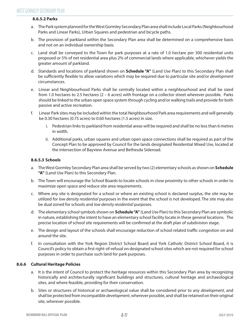## **8.6.5.2 Parks**

- a. The Park system planned for the West Gormley Secondary Plan area shall include Local Parks (Neighbourhood Parks and Linear Parks), Urban Squares and pedestrian and bicycle paths.
- b. The provision of parkland within the Secondary Plan area shall be determined on a comprehensive basis and not on an individual ownership basis.
- c. Land shall be conveyed to the Town for park purposes at a rate of 1.0 hectare per 300 residential units proposed or 5% of net residential area plus 2% of commercial lands where applicable, whichever yields the greater amount of parkland.
- d. Standards and locations of parkland shown on **Schedule "A"** (Land Use Plan) to this Secondary Plan shall be sufficiently flexible to allow variations which may be required due to particular site and/or development circumstances.
- e. Linear and Neighbourhood Parks shall be centrally located within a neighbourhood and shall be sized from 1.0 hectares to 2.5 hectares (2 – 6 acres) with frontage on a collector street wherever possible. Parks should be linked to the urban open space system through cycling and/or walking trails and provide for both passive and active recreation.
- f. Linear Park sites may be included within the total Neighbourhood Park area requirements and will generally be 0.30 hectares (0.75 acres) to 0.60 hectares (1.5 acres) in size.
	- i. Pedestrian links to parkland from residential areas will be required and shall be no less than 6 metres in width.
	- ii. Additional parks, urban squares and urban open space connections shall be required as part of the Concept Plan to be approved by Council for the lands designated Residential Mixed Use, located at the intersection of Bayview Avenue and Bethesda Sideroad.

## **8.6.5.3 Schools**

- a. The West Gormley Secondary Plan area shall be served by two (2) elementary schools as shown on **Schedule "A"** (Land Use Plan) to this Secondary Plan.
- b. The Town will encourage the School Boards to locate schools in close proximity to other schools in order to maximize open space and reduce site area requirements.
- c. Where any site is designated for a school or where an existing school is declared surplus, the site may be utilized for low density residential purposes in the event that the school is not developed. The site may also be dual zoned for schools and low density residential purposes.
- d. The elementary school symbols shown on **Schedule "A"** (Land Use Plan) to this Secondary Plan are symbolic in nature, establishing the intent to have an elementary school facility locate in these general locations. The precise location of school site requirements will be confirmed at the draft plan of subdivision stage.
- e. The design and layout of the schools shall encourage reduction of school related traffic congestion on and around the site.
- f. In consultation with the York Region District School Board and York Catholic District School Board, it is Council's policy to obtain a first right-of-refusal on designated school sites which are not required for school purposes in order to purchase such land for park purposes.

## **8.6.6 Cultural Heritage Policies**

- a. It is the intent of Council to protect the heritage resources within this Secondary Plan area by recognizing historically and architecturally significant buildings and structures, cultural heritage and archaeological sites, and where feasible, providing for their conservation.
- b. Sites or structures of historical or archaeological value shall be considered prior to any development, and shall be protected from incompatible *development*, wherever possible, and shall be retained on their original site, wherever possible.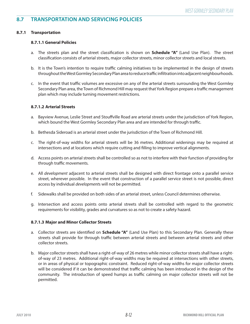## **8.7 TRANSPORTATION AND SERVICING POLICIES**

## **8.7.1 Transportation**

## **8.7.1.1 General Policies**

- a. The streets plan and the street classification is shown on **Schedule "A"** (Land Use Plan). The street classification consists of arterial streets, major collector streets, minor collector streets and local streets.
- b. It is the Town's intention to require traffic calming initiatives to be implemented in the design of streets throughout the West Gormley Secondary Plan area to reduce traffic infiltration into adjacent neighbourhoods.
- c. In the event that traffic volumes are excessive on any of the arterial streets surrounding the West Gormley Secondary Plan area, the Town of Richmond Hill may request that York Region prepare a traffic management plan which may include turning movement restrictions.

## **8.7.1.2 Arterial Streets**

- a. Bayview Avenue, Leslie Street and Stouffville Road are arterial streets under the jurisdiction of York Region, which bound the West Gormley Secondary Plan area and are intended for through traffic.
- b. Bethesda Sideroad is an arterial street under the jurisdiction of the Town of Richmond Hill.
- c. The right-of-way widths for arterial streets will be 36 metres. Additional widenings may be required at intersections and at locations which require cutting and filling to improve vertical alignments.
- d. Access points on arterial streets shall be controlled so as not to interfere with their function of providing for through traffic movements.
- e. All development adjacent to arterial streets shall be designed with direct frontage onto a parallel service street, wherever possible. In the event that construction of a parallel service street is not possible, direct access by individual developments will not be permitted.
- f. Sidewalks shall be provided on both sides of an arterial street, unless Council determines otherwise.
- g. Intersection and access points onto arterial streets shall be controlled with regard to the geometric requirements for visibility, grades and curvatures so as not to create a safety hazard.

## **8.7.1.3 Major and Minor Collector Streets**

- a. Collector streets are identified on **Schedule "A"** (Land Use Plan) to this Secondary Plan. Generally these streets shall provide for through traffic between arterial streets and between arterial streets and other collector streets.
- b. Major collector streets shall have a right-of-way of 26 metres while minor collector streets shall have a rightof-way of 23 metres. Additional right-of-way widths may be required at intersections with other streets, or in areas of physical or topographic constraint. Reduced right-of-way widths for major collector streets will be considered if it can be demonstrated that traffic calming has been introduced in the design of the community. The introduction of speed humps as traffic calming on major collector streets will not be permitted.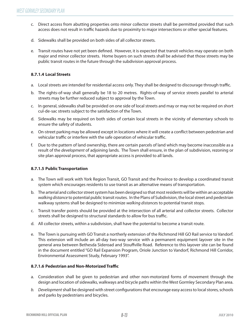- c. Direct access from abutting properties onto minor collector streets shall be permitted provided that such access does not result in traffic hazards due to proximity to major intersections or other special features.
- d. Sidewalks shall be provided on both sides of all collector streets.
- e. Transit routes have not yet been defned. However, it is expected that transit vehicles may operate on both major and minor collector streets. Home buyers on such streets shall be advised that those streets may be public transit routes in the future through the subdivision approval process.

## **8.7.1.4 Local Streets**

- a. Local streets are intended for residential access only. They shall be designed to discourage through traffic.
- b. The rights-of-way shall generally be 18 to 20 metres. Rights-of-way of service streets parallel to arterial streets may be further reduced subject to approval by the Town.
- c. In general, sidewalks shall be provided on one side of local streets and may or may not be required on short cul-de-sac streets subject to the satisfaction of the Town.
- d. Sidewalks may be required on both sides of certain local streets in the vicinity of elementary schools to ensure the safety of students.
- e. On-street parking may be allowed except in locations where it will create a confict between pedestrian and vehicular traffic or interfere with the safe operation of vehicular traffic.
- f. Due to the pattern of land ownership, there are certain parcels of land which may become inaccessible as a result of the development of adjoining lands. The Town shall ensure, in the plan of subdivision, rezoning or site plan approval process, that appropriate access is provided to all lands.

## **8.7.1.5 Public Transportation**

- a. The Town will work with York Region Transit, GO Transit and the Province to develop a coordinated transit system which encourages residents to use transit as an alternative means of transportation.
- b. The arterial and collector street system has been designed so that most residents will be within an acceptable walking distance to potential public transit routes. In the Plans of Subdivision, the local street and pedestrian walkway systems shall be designed to minimize walking distances to potential transit stops.
- c. Transit transfer points should be provided at the intersection of all arterial and collector streets. Collector streets shall be designed to structural standards to allow for bus traffic.
- d. All collector streets, within a subdivision, shall have the potential to become a transit route.
- e. The Town is pursuing with GO Transit a northerly extension of the Richmond Hill GO Rail service to Vandorf. This extension will include an all-day two-way service with a permanent equipment layover site in the general area between Bethesda Sideroad and Stouffville Road. Reference to this layover site can be found in the document entitled "GO Rail Expansion Program, Oriole Junction to Vandorf, Richmond Hill Corridor, Environmental Assessment Study, February 1993".

## **8.7.1.6 Pedestrian and Non-Motorized Traffic**

- a. Consideration shall be given to pedestrian and other non-motorized forms of movement through the design and location of sidewalks, walkways and bicycle paths within the West Gormley Secondary Plan area.
- b. Development shall be designed with street confgurations that encourage easy access to local stores, schools and parks by pedestrians and bicycles.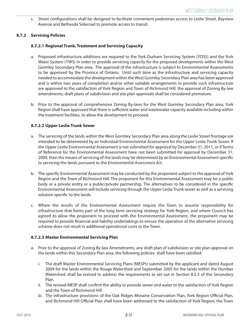c. Street confgurations shall be designed to facilitate convenient pedestrian access to Leslie Street, Bayview Avenue and Bethesda Sideroad to promote access to transit.

## **8.7.2 Servicing Policies**

## **8.7.2.1 Regional Trunk, Treatment and Servicing Capacity**

- a. Proposed infrastructure additions are required to the York Durham Servicing System (YDSS) and the York Water System (YWS) in order to provide servicing capacity for the proposed *developments* within the West Gormley Secondary Plan area. The approval of the infrastructure is subject to Environmental Assessments to be approved by the Province of Ontario. Until such time as the infrastructure and servicing capacity needed to accommodate the *development* within the West Gormley Secondary Plan area has been approved and is within two years of completion and/or other suitable arrangements to provide such infrastructure are approved to the satisfaction of York Region and Town of Richmond Hill, the approval of Zoning By-law amendments, draft plans of subdivision and site plan approvals shall be considered premature.
- b. Prior to the approval of comprehensive Zoning By-laws for the West Gormley Secondary Plan area, York Region shall have approved that there is sufficient water and wastewater capacity available including within the treatment facilities, to allow the *development* to proceed.

## **8.7.2.2 Upper Leslie Trunk Sewer**

- a. The servicing of the lands within the West Gormley Secondary Plan area along the Leslie Street frontage are intended to be determined by an Individual Environmental Assessment for the Upper Leslie Trunk Sewer. If the Upper Leslie Environmental Assessment is not submitted for approval by December 31, 2011, or if Terms of Reference for the Environmental Assessment have not been submitted for approval by December 31, 2009, then the means of servicing of the lands may be determined by an Environmental Assessment specific to servicing the lands pursuant to the *Environmental Assessment Act*.
- b. The specifc Environmental Assessment may be conducted by the proponent subject to the approval of York Region and the Town of Richmond Hill. The proponent for this Environmental Assessment may be a public body or a private entity or a public/private partnership. The alternatives to be considered in the specific Environmental Assessment will include servicing through the Upper Leslie Trunk sewer as well as a servicing solution specific to the lands.
- c. Where the results of the Environmental Assessment require the Town to assume responsibility for infrastructure that forms part of the long term servicing strategy for York Region, and where Council has agreed to allow the proponent to proceed with the Environmental Assessment, the proponent may be required to provide fnancial and liability undertakings to ensure the operation of the alternative servicing scheme does not result in additional operational costs to the Town.

## **8.7.2.3 Master Environmental Servicing Plan**

- a. Prior to the approval of Zoning By-law Amendments, any draft plan of subdivision or site plan approval on the lands within this Secondary Plan area, the following policies shall have been satisfied:
	- i. The draft Master Environmental Servicing Plans (MESPs) submitted by the applicant and dated August 2004 for the lands within the Rouge Watershed and September 2005 for the lands within the Humber Watershed, shall be revised to address the requirements as set out in Section 8.5.3 of this Secondary Plan.
	- ii. The revised MESP shall confrm the ability to provide sewer and water to the satisfaction of York Region and the Town of Richmond Hill.
	- and Richmond Hill Official Plan shall have been addressed to the satisfaction of York Region, the Town iii. The infrastructure provisions of the Oak Ridges Moraine Conservation Plan, York Region Official Plan,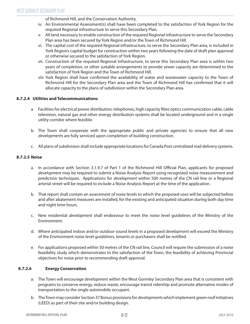of Richmond Hill, and the Conservation Authority.

- iv. An Environmental Assessment(s) shall have been completed to the satisfaction of York Region for the required Regional infrastructure to serve this Secondary Plan.
- v. All land necessary to enable construction of the required Regional infrastructure to serve the Secondary Plan area has been secured by York Region and/or the Town of Richmond Hill.
- vi. The capital cost of the required Regional infrastructure, to serve the Secondary Plan area, is included in York Region's capital budget for construction within two years following the date of draft plan approval or otherwise secured to the satisfaction of York Region.
- vii. Construction of the required Regional Infrastructure, to serve this Secondary Plan area is within two years of completion, or other suitable arrangements to provide sewer capacity are determined to the satisfaction of York Region and the Town of Richmond Hill.
- viii. York Region shall have confrmed the availability of water and wastewater capacity to the Town of Richmond Hill for the Secondary Plan area and the Town of Richmond Hill has confrmed that it will allocate capacity to the plans of subdivision within the Secondary Plan area.

## **8.7.2.4 Utilities and Telecommunications**

- a. Facilities for electrical power distribution, telephones, high capacity fbre optics communication cable, cable television, natural gas and other energy distribution systems shall be located underground and in a single utility corridor where feasible.
- b. The Town shall cooperate with the appropriate public and private agencies to ensure that all new developments are fully serviced upon completion of building construction.
- c. All plans of subdivision shall include appropriate locations for Canada Post centralized mail delivery systems.

## **8.7.2.5 Noise**

- a. In accordance with Section 3.1.9.7 of Part 1 of the Richmond Hill Official Plan, applicants for proposed development may be required to submit a Noise Analysis Report using recognized noise measurement and prediction techniques. Applications for development within 500 metres of the CN rail line or a Regional arterial street will be required to include a Noise Analysis Report at the time of the application.
- b. That report shall contain an assessment of noise levels to which the proposed uses will be subjected before and after abatement measures are installed, for the existing and anticipated situation during both day time and night time hours.
- c. New residential development shall endeavour to meet the noise level guidelines of the Ministry of the Environment.
- d. Where anticipated indoor and/or outdoor sound levels in a proposed *development* will exceed the Ministry of the Environment noise level quidelines, tenants or purchasers shall be notified.
- e. For applications proposed within 50 metres of the CN rail line, Council will require the submission of a noise feasibility study which demonstrates to the satisfaction of the Town, the feasibility of achieving Provincial objectives for noise prior to recommending draft approval.

## **8.7.2.6 Energy Conservation**

- a. The Town will encourage *development* within the West Gormley Secondary Plan area that is consistent with programs to conserve energy, reduce waste, encourage transit ridership and promote alternative modes of transportation to the single automobile occupant.
- b. The Town may consider Section 37 Bonus provisions for *developments* which implement green roof initiatives (LEED) as part of their site and/or building design.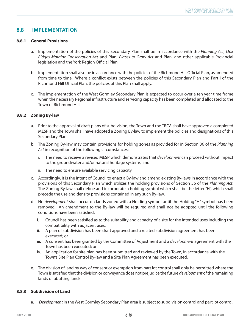## **8.8 IMPLEMENTATION**

## **8.8.1 General Provisions**

- a. Implementation of the policies of this Secondary Plan shall be in accordance with the Planning Act, Oak Ridges Moraine Conservation Act and Plan, Places to Grow Act and Plan, and other applicable Provincial legislation and the York Region Official Plan.
- b. Implementation shall also be in accordance with the policies of the Richmond Hill Official Plan, as amended Richmond Hill Official Plan, the policies of this Plan shall apply. from time to time. Where a confict exists between the policies of this Secondary Plan and Part I of the
- c. The implementation of the West Gormley Secondary Plan is expected to occur over a ten year time frame when the necessary Regional infrastructure and servicing capacity has been completed and allocated to the Town of Richmond Hill.

## **8.8.2 Zoning By-law**

- a. Prior to the approval of draft plans of subdivision, the Town and the TRCA shall have approved a completed MESP and the Town shall have adopted a Zoning By-law to implement the policies and designations of this Secondary Plan.
- b. The Zoning By-law may contain provisions for holding zones as provided for in Section 36 of the Planning Act in recognition of the following circumstances:
	- i. The need to receive a revised MESP which demonstrates that *development* can proceed without impact to the groundwater and/or natural heritage systems; and
	- ii. The need to ensure available servicing capacity.
- c. Accordingly, it is the intent of Council to enact a By-law and amend existing By-laws in accordance with the provisions of this Secondary Plan which utilizes the holding provisions of Section 36 of the Planning Act. The Zoning By-law shall defne and incorporate a holding symbol which shall be the letter "H", which shall precede the use and density provisions contained in any such By-law.
- d. No development shall occur on lands zoned with a Holding symbol until the Holding "H" symbol has been removed. An amendment to the By-law will be required and shall not be adopted until the following conditions have been satisfied:
	- i. Council has been satisfed as to the suitability and capacity of a site for the intended uses including the compatibility with adjacent uses;
	- ii. A plan of subdivision has been draft approved and a related subdivision agreement has been executed; or
	- iii. A consent has been granted by the Committee of Adjustment and a *development* agreement with the Town has been executed; or
	- iv. An application for site plan has been submitted and reviewed by the Town, in accordance with the Town's Site Plan Control By-law and a Site Plan Agreement has been executed.
- e. The division of land by way of consent or exemption from part lot control shall only be permitted where the Town is satisfied that the division or conveyance does not prejudice the future *development* of the remaining lands or abutting lands.

## **8.8.3 Subdivision of Land**

a. Development in the West Gormley Secondary Plan area is subject to subdivision control and part lot control.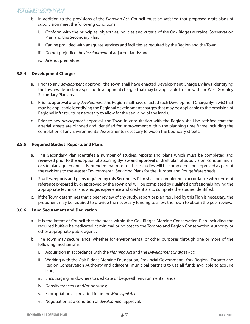- b. In addition to the provisions of the Planning Act, Council must be satisfied that proposed draft plans of subdivision meet the following conditions:
	- i. Conform with the principles, objectives, policies and criteria of the Oak Ridges Moraine Conservation Plan and this Secondary Plan;
	- ii. Can be provided with adequate services and facilities as required by the Region and the Town;
	- iii. Do not prejudice the *development* of adjacent lands; and
	- iv. Are not premature.

## **8.8.4 Development Charges**

- a. Prior to any *development* approval, the Town shall have enacted Development Charge By-laws identifying the Town-wide and area specifc development charges that may be applicable to land with the West Gormley Secondary Plan area.
- b. Prior to approval of any *development*, the Region shall have enacted such Development Charge By-law(s) that may be applicable identifying the Regional development charges that may be applicable to the provision of Regional infrastructure necessary to allow for the servicing of the lands.
- c. Prior to any development approval, the Town in consultation with the Region shall be satisfed that the arterial streets are planned and identifed for improvement within the planning time frame including the completion of any Environmental Assessments necessary to widen the boundary streets.

## **8.8.5 Required Studies, Reports and Plans**

- a. This Secondary Plan identifes a number of studies, reports and plans which must be completed and reviewed prior to the adoption of a Zoning By-law and approval of draft plan of subdivision, condominium or site plan agreement. It is intended that most of these studies will be completed and approved as part of the revisions to the Master Environmental Servicing Plans for the Humber and Rouge Watersheds.
- b. Studies, reports and plans required by this Secondary Plan shall be completed in accordance with terms of reference prepared by or approved by the Town and will be completed by qualifed professionals having the appropriate technical knowledge, experience and credentials to complete the studies identified.
- c. If the Town determines that a peer review of any study, report or plan required by this Plan is necessary, the proponent may be required to provide the necessary funding to allow the Town to obtain the peer review.

## **8.8.6 Land Securement and Dedication**

- a. It is the intent of Council that the areas within the Oak Ridges Moraine Conservation Plan including the required bufers be dedicated at minimal or no cost to the Toronto and Region Conservation Authority or other appropriate public agency.
- b. The Town may secure lands, whether for environmental or other purposes through one or more of the following mechanisms:
	- i. Acquisition in accordance with the Planning Act and the Development Charges Act;
	- ii. Working with the Oak Ridges Moraine Foundation, Provincial Government, York Region , Toronto and Region Conservation Authority and adjacent municipal partners to use all funds available to acquire land;
	- iii. Encouraging landowners to dedicate or bequeath environmental lands;
	- iv. Density transfers and/or bonuses;
	- v. Expropriation as provided for in the Municipal Act;
	- vi. Negotiation as a condition of development approval;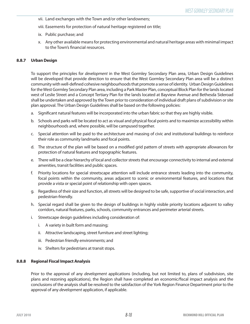- vii. Land exchanges with the Town and/or other landowners;
- viii. Easements for protection of natural heritage registered on title;
- ix. Public purchase; and
- x. Any other available means for protecting environmental and natural heritage areas with minimal impact to the Town's financial resources.

## **8.8.7 Urban Design**

To support the principles for *development* in the West Gormley Secondary Plan area, Urban Design Guidelines will be developed that provide direction to ensure that the West Gormley Secondary Plan area will be a distinct community with well-defned cohesive neighbourhoods that promote a sense of identity. Urban Design Guidelines for the West Gormley Secondary Plan area, including a Park Master Plan, conceptual Block Plan for the lands located west of Leslie Street and a Concept Tertiary Plan for the lands located at Bayview Avenue and Bethesda Sideroad shall be undertaken and approved by the Town prior to consideration of individual draft plans of subdivision or site plan approval. The Urban Design Guidelines shall be based on the following policies:

- a. Signifcant natural features will be incorporated into the urban fabric so that they are highly visible.
- b. Schools and parks will be located to act as visual and physical focal points and to maximize accessibility within neighbourhoods and, where possible, will be campused together.
- c. Special attention will be paid to the architecture and massing of civic and institutional buildings to reinforce their role as community landmarks and focal points.
- d. The structure of the plan will be based on a modified grid pattern of streets with appropriate allowances for protection of natural features and topographic features.
- e. There will be a clear hierarchy of local and collector streets that encourage connectivity to internal and external amenities, transit facilities and public spaces.
- f. Priority locations for special streetscape attention will include entrance streets leading into the community, focal points within the community, areas adjacent to scenic or environmental features, and locations that provide a vista or special point of relationship with open spaces.
- g. Regardless of their size and function, all streets will be designed to be safe, supportive of social interaction, and pedestrian-friendly.
- h. Special regard shall be given to the design of buildings in highly visible priority locations adjacent to valley corridors, natural features, parks, schools, community entrances and perimeter arterial streets.
- i. Streetscape design guidelines including consideration of:
	- i. A variety in built form and massing;
	- ii. Attractive landscaping, street furniture and street lighting;
	- iii. Pedestrian friendly environments; and
	- iv. Shelters for pedestrians at transit stops.

## **8.8.8 Regional Fiscal Impact Analysis**

Prior to the approval of any development applications (including, but not limited to, plans of subdivision, site plans and rezoning applications), the Region shall have completed an economic/fscal impact analysis and the conclusions of the analysis shall be resolved to the satisfaction of the York Region Finance Department prior to the approval of any development application, if applicable.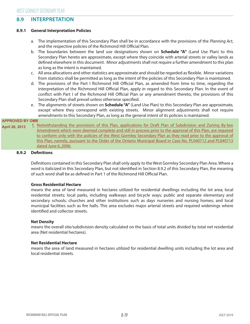## **8.9 INTERPRETATION**

## **8.9.1 General Interpretation Policies**

- a. The implementation of this Secondary Plan shall be in accordance with the provisions of the Planning Act, and the respective policies of the Richmond Hill Official Plan.
- b. The boundaries between the land use designations shown on **Schedule "A"** (Land Use Plan) to this Secondary Plan hereto are approximate, except where they coincide with arterial streets or valley lands as defned elsewhere in this document. Minor adjustments shall not require a further amendment to this plan as long as the intent is maintained.
- c. All area allocations and other statistics are approximate and should be regarded as fexible. Minor variations from statistics shall be permitted as long as the intent of the policies of this Secondary Plan is maintained.
- d. The provisions of the Part I Richmond Hill Official Plan, as amended from time to time, regarding the interpretation of the Richmond Hill Official Plan, apply in regard to this Secondary Plan. In the event of conflict with Part I of the Richmond Hill Official Plan or any amendment thereto, the provisions of this Secondary Plan shall prevail unless otherwise specified.
- e. The alignments of streets shown on **Schedule "A"** (Land Use Plan) to this Secondary Plan are approximate, except where they correspond with existing streets. Minor alignment adjustments shall not require amendments to this Secondary Plan, as long as the general intent of its policies is maintained.

#### $\mathsf{DMB}$  . Notice the provisions of this Plan, applications for Draft Plan of Subdivision and  $\mathsf{DMB}$ **APPROVED BY OMB**

April 26, 2013 L. Notwithstanding the provisions of this Plan, applications for Draft Plan of Subdivision and Zoning By-law Amendment which were deemed complete and still in process prior to the approval of this Plan, are required to conform only with the policies of the West Gormley Secondary Plan as they read prior to the approval of this Plan, namely, pursuant to the Order of the Ontario Municipal Board in Case No. PL040712 and PL040713 dated June 6, 2006.

## **8.9.2 Def nitions**

Defnitions contained in this Secondary Plan shall only apply to the West Gormley Secondary Plan Area. Where a word is italicized in this Secondary Plan, but not identifed in Section 8.9.2 of this Secondary Plan, the meaning of such word shall be as defined in Part 1 of the Richmond Hill Official Plan.

## **Gross Residential Hectare**

means the area of land measured in hectares utilized for residential dwellings including the lot area; local residential streets; local parks, including walkways and bicycle ways; public and separate elementary and secondary schools; churches and other institutions such as days nurseries and nursing homes; and local municipal facilities such as fre halls. This area excludes major arterial streets and required widenings where identifed and collector streets.

## **Net Density**

means the overall site/subdivision density calculated on the basis of total units divided by total net residential area (Net residential hectares).

## **Net Residential Hectare**

means the area of land measured in hectares utilized for residential dwelling units including the lot area and local residential streets.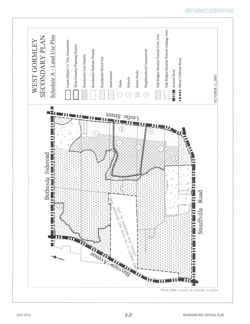